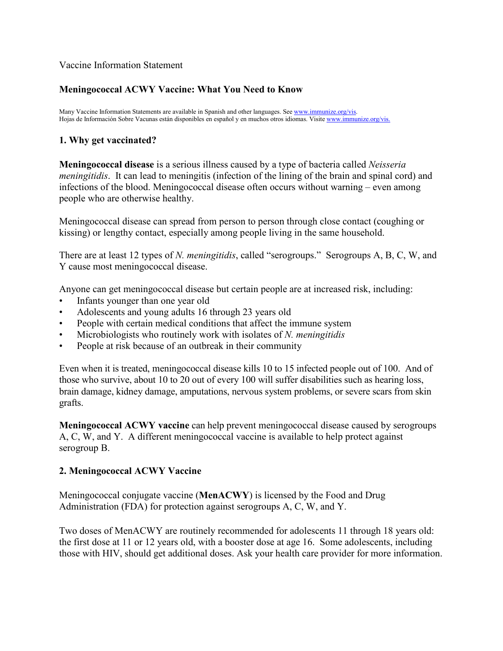### Vaccine Information Statement

## **Meningococcal ACWY Vaccine: What You Need to Know**

Many Vaccine Information Statements are available in Spanish and other languages. See [www.immunize.org/vis.](http://www.immunize.org/vis) Hojas de Información Sobre Vacunas están disponibles en español y en muchos otros idiomas. Visit[e www.immunize.org/vis.](http://www.immunize.org/vis)

### **1. Why get vaccinated?**

**Meningococcal disease** is a serious illness caused by a type of bacteria called *Neisseria meningitidis*. It can lead to meningitis (infection of the lining of the brain and spinal cord) and infections of the blood. Meningococcal disease often occurs without warning – even among people who are otherwise healthy.

Meningococcal disease can spread from person to person through close contact (coughing or kissing) or lengthy contact, especially among people living in the same household.

There are at least 12 types of *N. meningitidis*, called "serogroups." Serogroups A, B, C, W, and Y cause most meningococcal disease.

Anyone can get meningococcal disease but certain people are at increased risk, including:

- Infants younger than one year old
- Adolescents and young adults 16 through 23 years old
- People with certain medical conditions that affect the immune system
- Microbiologists who routinely work with isolates of *N. meningitidis*
- People at risk because of an outbreak in their community

Even when it is treated, meningococcal disease kills 10 to 15 infected people out of 100. And of those who survive, about 10 to 20 out of every 100 will suffer disabilities such as hearing loss, brain damage, kidney damage, amputations, nervous system problems, or severe scars from skin grafts.

**Meningococcal ACWY vaccine** can help prevent meningococcal disease caused by serogroups A, C, W, and Y. A different meningococcal vaccine is available to help protect against serogroup B.

### **2. Meningococcal ACWY Vaccine**

Meningococcal conjugate vaccine (**MenACWY**) is licensed by the Food and Drug Administration (FDA) for protection against serogroups A, C, W, and Y.

Two doses of MenACWY are routinely recommended for adolescents 11 through 18 years old: the first dose at 11 or 12 years old, with a booster dose at age 16. Some adolescents, including those with HIV, should get additional doses. Ask your health care provider for more information.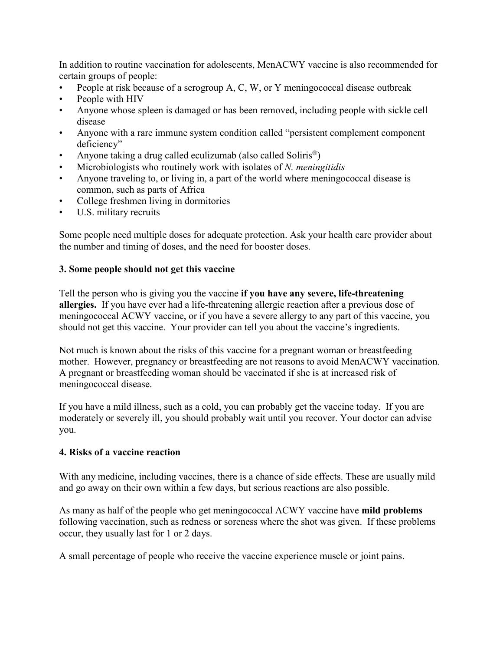In addition to routine vaccination for adolescents, MenACWY vaccine is also recommended for certain groups of people:

- People at risk because of a serogroup A, C, W, or Y meningococcal disease outbreak
- People with HIV
- Anyone whose spleen is damaged or has been removed, including people with sickle cell disease
- Anyone with a rare immune system condition called "persistent complement component deficiency"
- Anyone taking a drug called eculizumab (also called Soliris<sup>®</sup>)
- Microbiologists who routinely work with isolates of *N. meningitidis*
- Anyone traveling to, or living in, a part of the world where meningococcal disease is common, such as parts of Africa
- College freshmen living in dormitories
- U.S. military recruits

Some people need multiple doses for adequate protection. Ask your health care provider about the number and timing of doses, and the need for booster doses.

### **3. Some people should not get this vaccine**

Tell the person who is giving you the vaccine **if you have any severe, life-threatening allergies.** If you have ever had a life-threatening allergic reaction after a previous dose of meningococcal ACWY vaccine, or if you have a severe allergy to any part of this vaccine, you should not get this vaccine. Your provider can tell you about the vaccine's ingredients.

Not much is known about the risks of this vaccine for a pregnant woman or breastfeeding mother. However, pregnancy or breastfeeding are not reasons to avoid MenACWY vaccination. A pregnant or breastfeeding woman should be vaccinated if she is at increased risk of meningococcal disease.

If you have a mild illness, such as a cold, you can probably get the vaccine today. If you are moderately or severely ill, you should probably wait until you recover. Your doctor can advise you.

### **4. Risks of a vaccine reaction**

With any medicine, including vaccines, there is a chance of side effects. These are usually mild and go away on their own within a few days, but serious reactions are also possible.

As many as half of the people who get meningococcal ACWY vaccine have **mild problems** following vaccination, such as redness or soreness where the shot was given. If these problems occur, they usually last for 1 or 2 days.

A small percentage of people who receive the vaccine experience muscle or joint pains.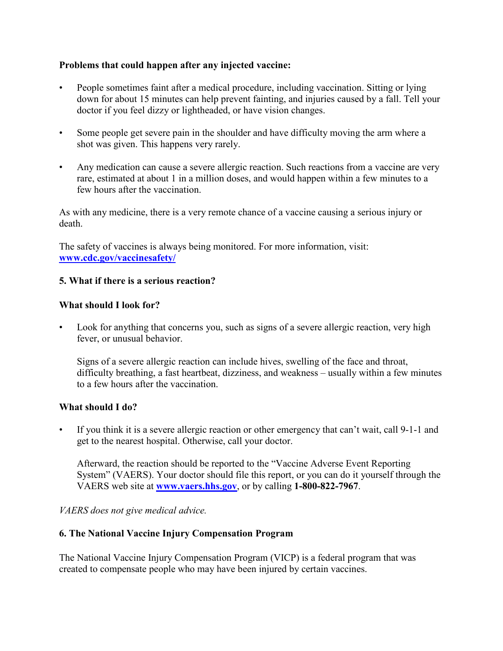## **Problems that could happen after any injected vaccine:**

- People sometimes faint after a medical procedure, including vaccination. Sitting or lying down for about 15 minutes can help prevent fainting, and injuries caused by a fall. Tell your doctor if you feel dizzy or lightheaded, or have vision changes.
- Some people get severe pain in the shoulder and have difficulty moving the arm where a shot was given. This happens very rarely.
- Any medication can cause a severe allergic reaction. Such reactions from a vaccine are very rare, estimated at about 1 in a million doses, and would happen within a few minutes to a few hours after the vaccination.

As with any medicine, there is a very remote chance of a vaccine causing a serious injury or death.

The safety of vaccines is always being monitored. For more information, visit: **[www.cdc.gov/vaccinesafety/](https://www.cdc.gov/vaccinesafety/)**

## **5. What if there is a serious reaction?**

## **What should I look for?**

Look for anything that concerns you, such as signs of a severe allergic reaction, very high fever, or unusual behavior.

Signs of a severe allergic reaction can include hives, swelling of the face and throat, difficulty breathing, a fast heartbeat, dizziness, and weakness – usually within a few minutes to a few hours after the vaccination.

### **What should I do?**

If you think it is a severe allergic reaction or other emergency that can't wait, call 9-1-1 and get to the nearest hospital. Otherwise, call your doctor.

Afterward, the reaction should be reported to the "Vaccine Adverse Event Reporting System" (VAERS). Your doctor should file this report, or you can do it yourself through the VAERS web site at **[www.vaers.hhs.gov](http://www.vaers.hhs.gov/)**, or by calling **1-800-822-7967**.

*VAERS does not give medical advice.*

### **6. The National Vaccine Injury Compensation Program**

The National Vaccine Injury Compensation Program (VICP) is a federal program that was created to compensate people who may have been injured by certain vaccines.